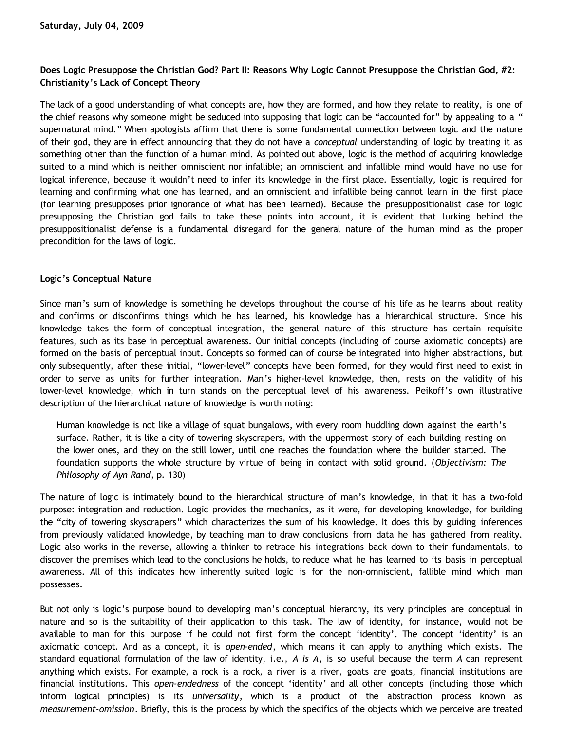## **Does Logic Presuppose the Christian God? Part II: Reasons Why Logic Cannot Presuppose the Christian God, #2: Christianity's Lack of Concept Theory**

The lack of a good understanding of what concepts are, how they are formed, and how they relate to reality, is one of the chief reasons why someone might be seduced into supposing that logic can be "accounted for" by appealing to a " supernatural mind." When apologists affirm that there is some fundamental connection between logic and the nature of their god, they are in effect announcing that they do not have a *conceptual* understanding of logic by treating it as something other than the function of a human mind. As pointed out above, logic is the method of acquiring knowledge suited to a mind which is neither omniscient nor infallible; an omniscient and infallible mind would have no use for logical inference, because it wouldn't need to infer its knowledge in the first place. Essentially, logic is required for learning and confirming what one has learned, and an omniscient and infallible being cannot learn in the first place (for learning presupposes prior ignorance of what has been learned). Because the presuppositionalist case for logic presupposing the Christian god fails to take these points into account, it is evident that lurking behind the presuppositionalist defense is a fundamental disregard for the general nature of the human mind as the proper precondition for the laws of logic.

## **Logic's Conceptual Nature**

Since man's sum of knowledge is something he develops throughout the course of his life as he learns about reality and confirms or disconfirms things which he has learned, his knowledge has a hierarchical structure. Since his knowledge takes the form of conceptual integration, the general nature of this structure has certain requisite features, such as its base in perceptual awareness. Our initial concepts (including of course axiomatic concepts) are formed on the basis of perceptual input. Concepts so formed can of course be integrated into higher abstractions, but only subsequently, after these initial, "lower-level" concepts have been formed, for they would first need to exist in order to serve as units for further integration. Man's higher-level knowledge, then, rests on the validity of his lower-level knowledge, which in turn stands on the perceptual level of his awareness. Peikoff's own illustrative description of the hierarchical nature of knowledge is worth noting:

Human knowledge is not like a village of squat bungalows, with every room huddling down against the earth's surface. Rather, it is like a city of towering skyscrapers, with the uppermost story of each building resting on the lower ones, and they on the still lower, until one reaches the foundation where the builder started. The foundation supports the whole structure by virtue of being in contact with solid ground. (*Objectivism: The Philosophy of Ayn Rand*, p. 130)

The nature of logic is intimately bound to the hierarchical structure of man's knowledge, in that it has a two-fold purpose: integration and reduction. Logic provides the mechanics, as it were, for developing knowledge, for building the "city of towering skyscrapers" which characterizes the sum of his knowledge. It does this by guiding inferences from previously validated knowledge, by teaching man to draw conclusions from data he has gathered from reality. Logic also works in the reverse, allowing a thinker to retrace his integrations back down to their fundamentals, to discover the premises which lead to the conclusions he holds, to reduce what he has learned to its basis in perceptual awareness. All of this indicates how inherently suited logic is for the non-omniscient, fallible mind which man possesses.

But not only is logic's purpose bound to developing man's conceptual hierarchy, its very principles are conceptual in nature and so is the suitability of their application to this task. The law of identity, for instance, would not be available to man for this purpose if he could not first form the concept 'identity'. The concept 'identity' is an axiomatic concept. And as a concept, it is *open-ended*, which means it can apply to anything which exists. The standard equational formulation of the law of identity, i.e., *A is A*, is so useful because the term *A* can represent anything which exists. For example, a rock is a rock, a river is a river, goats are goats, financial institutions are financial institutions. This *open-endedness* of the concept 'identity' and all other concepts (including those which inform logical principles) is its *universality*, which is a product of the abstraction process known as *measurement-omission*. Briefly, this is the process by which the specifics of the objects which we perceive are treated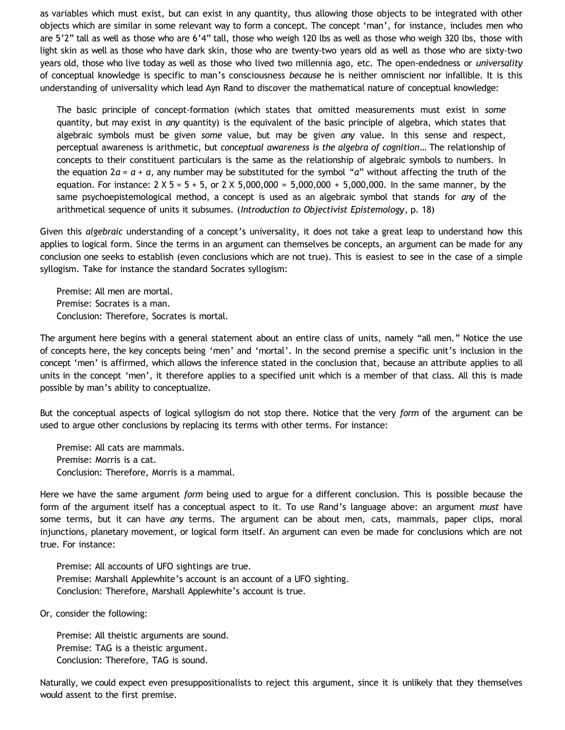as variables which must exist, but can exist in any quantity, thus allowing those objects to be integrated with other objects which are similar in some relevant way to form a concept. The concept 'man', for instance, includes men who are 5'2" tall as well as those who are 6'4" tall, those who weigh 120 lbs as well as those who weigh 320 lbs, those with light skin as well as those who have dark skin, those who are twenty-two years old as well as those who are sixty-two years old, those who live today as well as those who lived two millennia ago, etc. The open-endedness or *universality* of conceptual knowledge is specific to man's consciousness *because* he is neither omniscient nor infallible. It is this understanding of universality which lead Ayn Rand to discover the mathematical nature of conceptual knowledge:

The basic principle of concept-formation (which states that omitted measurements must exist in *some* quantity, but may exist in *any* quantity) is the equivalent of the basic principle of algebra, which states that algebraic symbols must be given *some* value, but may be given *any* value. In this sense and respect, perceptual awareness is arithmetic, but *conceptual awareness is the algebra of cognition*… The relationship of concepts to their constituent particulars is the same as the relationship of algebraic symbols to numbers. In the equation  $2a = a + a$ , any number may be substituted for the symbol "*a*" without affecting the truth of the equation. For instance:  $2 \times 5 = 5 + 5$ , or  $2 \times 5,000,000 = 5,000,000 + 5,000,000$ . In the same manner, by the same psychoepistemological method, a concept is used as an algebraic symbol that stands for *any* of the arithmetical sequence of units it subsumes. (*Introduction to Objectivist Epistemology*, p. 18)

Given this *algebraic* understanding of a concept's universality, it does not take a great leap to understand how this applies to logical form. Since the terms in an argument can themselves be concepts, an argument can be made for any conclusion one seeks to establish (even conclusions which are not true). This is easiest to see in the case of a simple syllogism. Take for instance the standard Socrates syllogism:

Premise: All men are mortal. Premise: Socrates is a man. Conclusion: Therefore, Socrates is mortal.

The argument here begins with a general statement about an entire class of units, namely "all men." Notice the use of concepts here, the key concepts being 'men' and 'mortal'. In the second premise a specific unit's inclusion in the concept 'men' is affirmed, which allows the inference stated in the conclusion that, because an attribute applies to all units in the concept 'men', it therefore applies to a specified unit which is a member of that class. All this is made possible by man's ability to conceptualize.

But the conceptual aspects of logical syllogism do not stop there. Notice that the very *form* of the argument can be used to argue other conclusions by replacing its terms with other terms. For instance:

Premise: All cats are mammals. Premise: Morris is a cat. Conclusion: Therefore, Morris is a mammal.

Here we have the same argument *form* being used to argue for a different conclusion. This is possible because the form of the argument itself has a conceptual aspect to it. To use Rand's language above: an argument *must* have some terms, but it can have *any* terms. The argument can be about men, cats, mammals, paper clips, moral injunctions, planetary movement, or logical form itself. An argument can even be made for conclusions which are not true. For instance:

Premise: All accounts of UFO sightings are true. Premise: Marshall Applewhite's account is an account of a UFO sighting. Conclusion: Therefore, Marshall Applewhite's account is true.

Or, consider the following:

Premise: All theistic arguments are sound. Premise: TAG is a theistic argument. Conclusion: Therefore, TAG is sound.

Naturally, we could expect even presuppositionalists to reject this argument, since it is unlikely that they themselves would assent to the first premise.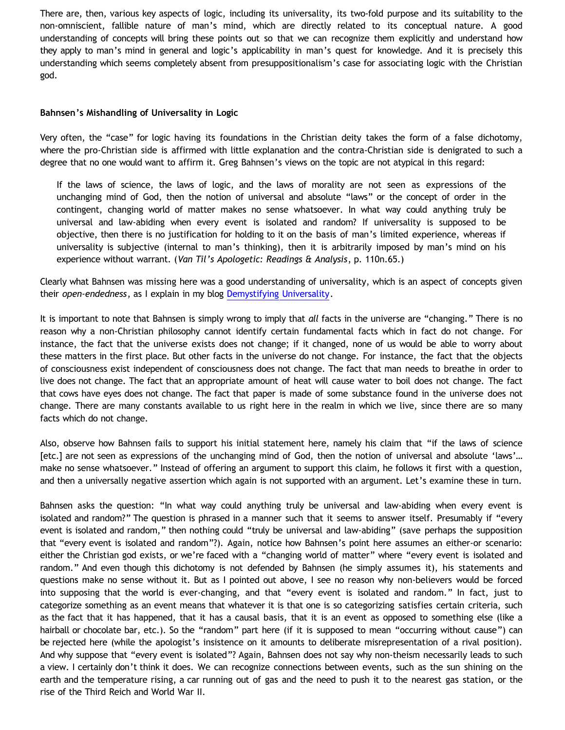There are, then, various key aspects of logic, including its universality, its two-fold purpose and its suitability to the non-omniscient, fallible nature of man's mind, which are directly related to its conceptual nature. A good understanding of concepts will bring these points out so that we can recognize them explicitly and understand how they apply to man's mind in general and logic's applicability in man's quest for knowledge. And it is precisely this understanding which seems completely absent from presuppositionalism's case for associating logic with the Christian god.

## **Bahnsen's Mishandling of Universality in Logic**

Very often, the "case" for logic having its foundations in the Christian deity takes the form of a false dichotomy, where the pro-Christian side is affirmed with little explanation and the contra-Christian side is denigrated to such a degree that no one would want to affirm it. Greg Bahnsen's views on the topic are not atypical in this regard:

If the laws of science, the laws of logic, and the laws of morality are not seen as expressions of the unchanging mind of God, then the notion of universal and absolute "laws" or the concept of order in the contingent, changing world of matter makes no sense whatsoever. In what way could anything truly be universal and law-abiding when every event is isolated and random? If universality is supposed to be objective, then there is no justification for holding to it on the basis of man's limited experience, whereas if universality is subjective (internal to man's thinking), then it is arbitrarily imposed by man's mind on his experience without warrant. (*Van Til's Apologetic: Readings & Analysis*, p. 110n.65.)

Clearly what Bahnsen was missing here was a good understanding of universality, which is an aspect of concepts given their *open-endedness*, as I explain in my blog [Demystifying Universality.](http://bahnsenburner.blogspot.com/2009/06/demystifying-universality.html)

It is important to note that Bahnsen is simply wrong to imply that *all* facts in the universe are "changing." There is no reason why a non-Christian philosophy cannot identify certain fundamental facts which in fact do not change. For instance, the fact that the universe exists does not change; if it changed, none of us would be able to worry about these matters in the first place. But other facts in the universe do not change. For instance, the fact that the objects of consciousness exist independent of consciousness does not change. The fact that man needs to breathe in order to live does not change. The fact that an appropriate amount of heat will cause water to boil does not change. The fact that cows have eyes does not change. The fact that paper is made of some substance found in the universe does not change. There are many constants available to us right here in the realm in which we live, since there are so many facts which do not change.

Also, observe how Bahnsen fails to support his initial statement here, namely his claim that "if the laws of science [etc.] are not seen as expressions of the unchanging mind of God, then the notion of universal and absolute 'laws'… make no sense whatsoever." Instead of offering an argument to support this claim, he follows it first with a question, and then a universally negative assertion which again is not supported with an argument. Let's examine these in turn.

Bahnsen asks the question: "In what way could anything truly be universal and law-abiding when every event is isolated and random?" The question is phrased in a manner such that it seems to answer itself. Presumably if "every event is isolated and random," then nothing could "truly be universal and law-abiding" (save perhaps the supposition that "every event is isolated and random"?). Again, notice how Bahnsen's point here assumes an either-or scenario: either the Christian god exists, or we're faced with a "changing world of matter" where "every event is isolated and random." And even though this dichotomy is not defended by Bahnsen (he simply assumes it), his statements and questions make no sense without it. But as I pointed out above, I see no reason why non-believers would be forced into supposing that the world is ever-changing, and that "every event is isolated and random." In fact, just to categorize something as an event means that whatever it is that one is so categorizing satisfies certain criteria, such as the fact that it has happened, that it has a causal basis, that it is an event as opposed to something else (like a hairball or chocolate bar, etc.). So the "random" part here (if it is supposed to mean "occurring without cause") can be rejected here (while the apologist's insistence on it amounts to deliberate misrepresentation of a rival position). And why suppose that "every event is isolated"? Again, Bahnsen does not say why non-theism necessarily leads to such a view. I certainly don't think it does. We can recognize connections between events, such as the sun shining on the earth and the temperature rising, a car running out of gas and the need to push it to the nearest gas station, or the rise of the Third Reich and World War II.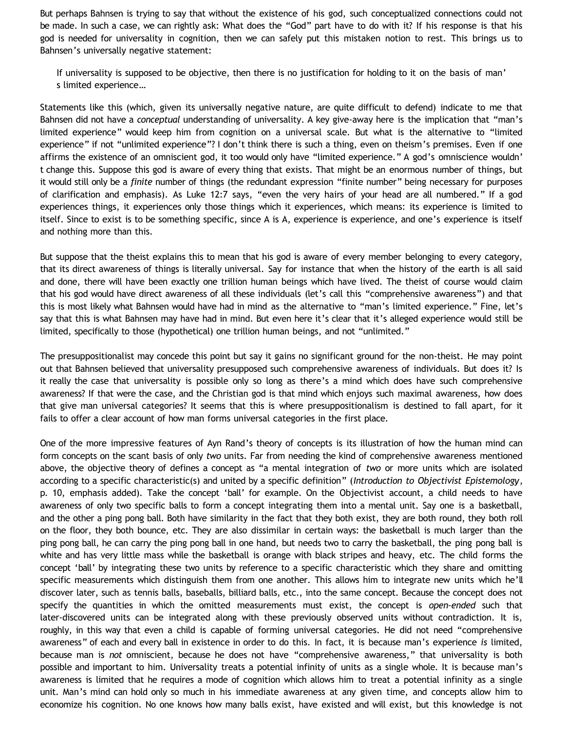But perhaps Bahnsen is trying to say that without the existence of his god, such conceptualized connections could not be made. In such a case, we can rightly ask: What does the "God" part have to do with it? If his response is that his god is needed for universality in cognition, then we can safely put this mistaken notion to rest. This brings us to Bahnsen's universally negative statement:

If universality is supposed to be objective, then there is no justification for holding to it on the basis of man' s limited experience…

Statements like this (which, given its universally negative nature, are quite difficult to defend) indicate to me that Bahnsen did not have a *conceptual* understanding of universality. A key give-away here is the implication that "man's limited experience" would keep him from cognition on a universal scale. But what is the alternative to "limited experience" if not "unlimited experience"? I don't think there is such a thing, even on theism's premises. Even if one affirms the existence of an omniscient god, it too would only have "limited experience." A god's omniscience wouldn' t change this. Suppose this god is aware of every thing that exists. That might be an enormous number of things, but it would still only be a *finite* number of things (the redundant expression "finite number" being necessary for purposes of clarification and emphasis). As Luke 12:7 says, "even the very hairs of your head are all numbered." If a god experiences things, it experiences only those things which it experiences, which means: its experience is limited to itself. Since to exist is to be something specific, since A is A, experience is experience, and one's experience is itself and nothing more than this.

But suppose that the theist explains this to mean that his god is aware of every member belonging to every category, that its direct awareness of things is literally universal. Say for instance that when the history of the earth is all said and done, there will have been exactly one trillion human beings which have lived. The theist of course would claim that his god would have direct awareness of all these individuals (let's call this "comprehensive awareness") and that this is most likely what Bahnsen would have had in mind as the alternative to "man's limited experience." Fine, let's say that this is what Bahnsen may have had in mind. But even here it's clear that it's alleged experience would still be limited, specifically to those (hypothetical) one trillion human beings, and not "unlimited."

The presuppositionalist may concede this point but say it gains no significant ground for the non-theist. He may point out that Bahnsen believed that universality presupposed such comprehensive awareness of individuals. But does it? Is it really the case that universality is possible only so long as there's a mind which does have such comprehensive awareness? If that were the case, and the Christian god is that mind which enjoys such maximal awareness, how does that give man universal categories? It seems that this is where presuppositionalism is destined to fall apart, for it fails to offer a clear account of how man forms universal categories in the first place.

One of the more impressive features of Ayn Rand's theory of concepts is its illustration of how the human mind can form concepts on the scant basis of only *two* units. Far from needing the kind of comprehensive awareness mentioned above, the objective theory of defines a concept as "a mental integration of *two* or more units which are isolated according to a specific characteristic(s) and united by a specific definition" (*Introduction to Objectivist Epistemology*, p. 10, emphasis added). Take the concept 'ball' for example. On the Objectivist account, a child needs to have awareness of only two specific balls to form a concept integrating them into a mental unit. Say one is a basketball, and the other a ping pong ball. Both have similarity in the fact that they both exist, they are both round, they both roll on the floor, they both bounce, etc. They are also dissimilar in certain ways: the basketball is much larger than the ping pong ball, he can carry the ping pong ball in one hand, but needs two to carry the basketball, the ping pong ball is white and has very little mass while the basketball is orange with black stripes and heavy, etc. The child forms the concept 'ball' by integrating these two units by reference to a specific characteristic which they share and omitting specific measurements which distinguish them from one another. This allows him to integrate new units which he'll discover later, such as tennis balls, baseballs, billiard balls, etc., into the same concept. Because the concept does not specify the quantities in which the omitted measurements must exist, the concept is *open-ended* such that later-discovered units can be integrated along with these previously observed units without contradiction. It is, roughly, in this way that even a child is capable of forming universal categories. He did not need "comprehensive awareness" of each and every ball in existence in order to do this. In fact, it is because man's experience *is* limited, because man is *not* omniscient, because he does not have "comprehensive awareness," that universality is both possible and important to him. Universality treats a potential infinity of units as a single whole. It is because man's awareness is limited that he requires a mode of cognition which allows him to treat a potential infinity as a single unit. Man's mind can hold only so much in his immediate awareness at any given time, and concepts allow him to economize his cognition. No one knows how many balls exist, have existed and will exist, but this knowledge is not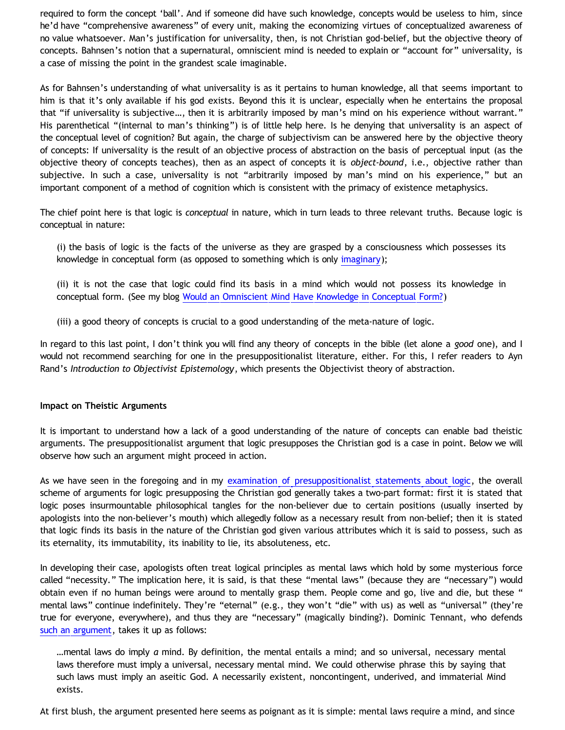required to form the concept 'ball'. And if someone did have such knowledge, concepts would be useless to him, since he'd have "comprehensive awareness" of every unit, making the economizing virtues of conceptualized awareness of no value whatsoever. Man's justification for universality, then, is not Christian god-belief, but the objective theory of concepts. Bahnsen's notion that a supernatural, omniscient mind is needed to explain or "account for" universality, is a case of missing the point in the grandest scale imaginable.

As for Bahnsen's understanding of what universality is as it pertains to human knowledge, all that seems important to him is that it's only available if his god exists. Beyond this it is unclear, especially when he entertains the proposal that "if universality is subjective…, then it is arbitrarily imposed by man's mind on his experience without warrant." His parenthetical "(internal to man's thinking") is of little help here. Is he denying that universality is an aspect of the conceptual level of cognition? But again, the charge of subjectivism can be answered here by the objective theory of concepts: If universality is the result of an objective process of abstraction on the basis of perceptual input (as the objective theory of concepts teaches), then as an aspect of concepts it is *object-bound*, i.e., objective rather than subjective. In such a case, universality is not "arbitrarily imposed by man's mind on his experience," but an important component of a method of cognition which is consistent with the primacy of existence metaphysics.

The chief point here is that logic is *conceptual* in nature, which in turn leads to three relevant truths. Because logic is conceptual in nature:

(i) the basis of logic is the facts of the universe as they are grasped by a consciousness which possesses its knowledge in conceptual form (as opposed to something which is only [imaginary](http://bahnsenburner.blogspot.com/2009/06/is-immaterial-actually-imaginary.html));

(ii) it is not the case that logic could find its basis in a mind which would not possess its knowledge in conceptual form. (See my blog [Would an Omniscient Mind Have Knowledge in Conceptual Form?\)](http://bahnsenburner.blogspot.com/2007/04/would-omniscient-mind-have-knowledge-in.html)

(iii) a good theory of concepts is crucial to a good understanding of the meta-nature of logic.

In regard to this last point, I don't think you will find any theory of concepts in the bible (let alone a *good* one), and I would not recommend searching for one in the presuppositionalist literature, either. For this, I refer readers to Ayn Rand's *Introduction to Objectivist Epistemology*, which presents the Objectivist theory of abstraction.

## **Impact on Theistic Arguments**

It is important to understand how a lack of a good understanding of the nature of concepts can enable bad theistic arguments. The presuppositionalist argument that logic presupposes the Christian god is a case in point. Below we will observe how such an argument might proceed in action.

As we have seen in the foregoing and in my [examination of presuppositionalist statements about logic,](http://bahnsenburner.blogspot.com/2009/06/does-logic-presuppose-christian-god.html) the overall scheme of arguments for logic presupposing the Christian god generally takes a two-part format: first it is stated that logic poses insurmountable philosophical tangles for the non-believer due to certain positions (usually inserted by apologists into the non-believer's mouth) which allegedly follow as a necessary result from non-belief; then it is stated that logic finds its basis in the nature of the Christian god given various attributes which it is said to possess, such as its eternality, its immutability, its inability to lie, its absoluteness, etc.

In developing their case, apologists often treat logical principles as mental laws which hold by some mysterious force called "necessity." The implication here, it is said, is that these "mental laws" (because they are "necessary") would obtain even if no human beings were around to mentally grasp them. People come and go, live and die, but these " mental laws" continue indefinitely. They're "eternal" (e.g., they won't "die" with us) as well as "universal" (they're true for everyone, everywhere), and thus they are "necessary" (magically binding?). Dominic Tennant, who defends [such an argument,](http://bnonn.thinkingmatters.org.nz/god-is-a-necessary-precondition-for-reason-my-opening-statement/) takes it up as follows:

…mental laws do imply *a* mind. By definition, the mental entails a mind; and so universal, necessary mental laws therefore must imply a universal, necessary mental mind. We could otherwise phrase this by saying that such laws must imply an aseitic God. A necessarily existent, noncontingent, underived, and immaterial Mind exists.

At first blush, the argument presented here seems as poignant as it is simple: mental laws require a mind, and since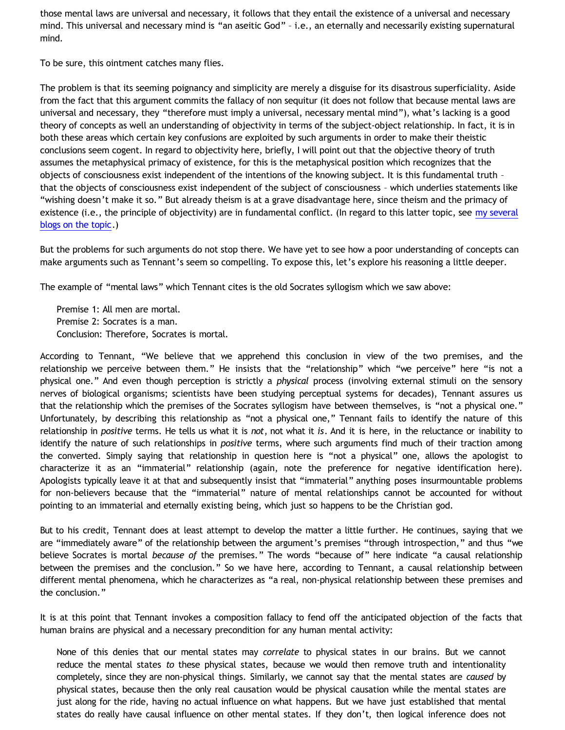those mental laws are universal and necessary, it follows that they entail the existence of a universal and necessary mind. This universal and necessary mind is "an aseitic God" – i.e., an eternally and necessarily existing supernatural mind.

To be sure, this ointment catches many flies.

The problem is that its seeming poignancy and simplicity are merely a disguise for its disastrous superficiality. Aside from the fact that this argument commits the fallacy of non sequitur (it does not follow that because mental laws are universal and necessary, they "therefore must imply a universal, necessary mental mind"), what's lacking is a good theory of concepts as well an understanding of objectivity in terms of the subject-object relationship. In fact, it is in both these areas which certain key confusions are exploited by such arguments in order to make their theistic conclusions seem cogent. In regard to objectivity here, briefly, I will point out that the objective theory of truth assumes the metaphysical primacy of existence, for this is the metaphysical position which recognizes that the objects of consciousness exist independent of the intentions of the knowing subject. It is this fundamental truth – that the objects of consciousness exist independent of the subject of consciousness – which underlies statements like "wishing doesn't make it so." But already theism is at a grave disadvantage here, since theism and the primacy of existence (i.e., the principle of objectivity) are in fundamental conflict. (In regard to this latter topic, see [my several](http://bahnsenburner.blogspot.com/search/label/Primacy%20of%20Existence) [blogs on the topic.](http://bahnsenburner.blogspot.com/search/label/Primacy%20of%20Existence))

But the problems for such arguments do not stop there. We have yet to see how a poor understanding of concepts can make arguments such as Tennant's seem so compelling. To expose this, let's explore his reasoning a little deeper.

The example of "mental laws" which Tennant cites is the old Socrates syllogism which we saw above:

Premise 1: All men are mortal. Premise 2: Socrates is a man. Conclusion: Therefore, Socrates is mortal.

According to Tennant, "We believe that we apprehend this conclusion in view of the two premises, and the relationship we perceive between them." He insists that the "relationship" which "we perceive" here "is not a physical one." And even though perception is strictly a *physical* process (involving external stimuli on the sensory nerves of biological organisms; scientists have been studying perceptual systems for decades), Tennant assures us that the relationship which the premises of the Socrates syllogism have between themselves, is "not a physical one." Unfortunately, by describing this relationship as "not a physical one," Tennant fails to identify the nature of this relationship in *positive* terms. He tells us what it is *not*, not what it *is*. And it is here, in the reluctance or inability to identify the nature of such relationships in *positive* terms, where such arguments find much of their traction among the converted. Simply saying that relationship in question here is "not a physical" one, allows the apologist to characterize it as an "immaterial" relationship (again, note the preference for negative identification here). Apologists typically leave it at that and subsequently insist that "immaterial" anything poses insurmountable problems for non-believers because that the "immaterial" nature of mental relationships cannot be accounted for without pointing to an immaterial and eternally existing being, which just so happens to be the Christian god.

But to his credit, Tennant does at least attempt to develop the matter a little further. He continues, saying that we are "immediately aware" of the relationship between the argument's premises "through introspection," and thus "we believe Socrates is mortal *because of* the premises." The words "because of" here indicate "a causal relationship between the premises and the conclusion." So we have here, according to Tennant, a causal relationship between different mental phenomena, which he characterizes as "a real, non-physical relationship between these premises and the conclusion."

It is at this point that Tennant invokes a composition fallacy to fend off the anticipated objection of the facts that human brains are physical and a necessary precondition for any human mental activity:

None of this denies that our mental states may *correlate* to physical states in our brains. But we cannot reduce the mental states *to* these physical states, because we would then remove truth and intentionality completely, since they are non-physical things. Similarly, we cannot say that the mental states are *caused* by physical states, because then the only real causation would be physical causation while the mental states are just along for the ride, having no actual influence on what happens. But we have just established that mental states do really have causal influence on other mental states. If they don't, then logical inference does not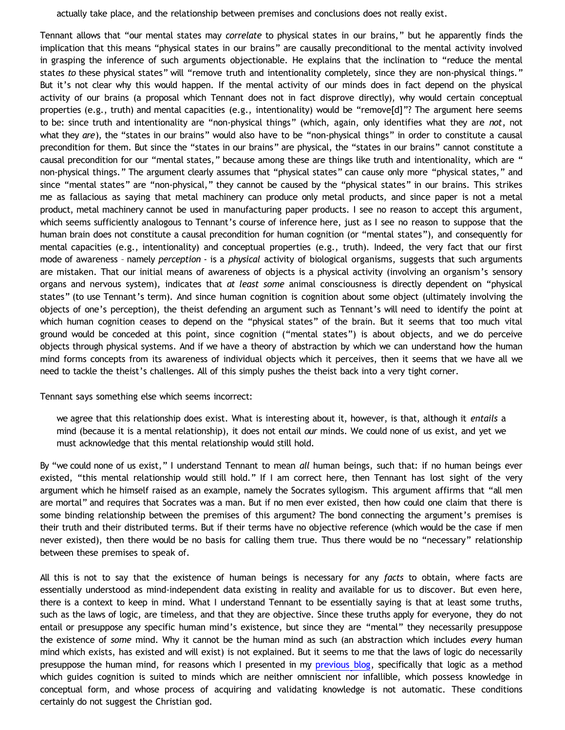actually take place, and the relationship between premises and conclusions does not really exist.

Tennant allows that "our mental states may *correlate* to physical states in our brains," but he apparently finds the implication that this means "physical states in our brains" are causally preconditional to the mental activity involved in grasping the inference of such arguments objectionable. He explains that the inclination to "reduce the mental states *to* these physical states" will "remove truth and intentionality completely, since they are non-physical things." But it's not clear why this would happen. If the mental activity of our minds does in fact depend on the physical activity of our brains (a proposal which Tennant does not in fact disprove directly), why would certain conceptual properties (e.g., truth) and mental capacities (e.g., intentionality) would be "remove[d]"? The argument here seems to be: since truth and intentionality are "non-physical things" (which, again, only identifies what they are *not*, not what they *are*), the "states in our brains" would also have to be "non-physical things" in order to constitute a causal precondition for them. But since the "states in our brains" are physical, the "states in our brains" cannot constitute a causal precondition for our "mental states," because among these are things like truth and intentionality, which are " non-physical things." The argument clearly assumes that "physical states" can cause only more "physical states," and since "mental states" are "non-physical," they cannot be caused by the "physical states" in our brains. This strikes me as fallacious as saying that metal machinery can produce only metal products, and since paper is not a metal product, metal machinery cannot be used in manufacturing paper products. I see no reason to accept this argument, which seems sufficiently analogous to Tennant's course of inference here, just as I see no reason to suppose that the human brain does not constitute a causal precondition for human cognition (or "mental states"), and consequently for mental capacities (e.g., intentionality) and conceptual properties (e.g., truth). Indeed, the very fact that our first mode of awareness – namely *perception* - is a *physical* activity of biological organisms, suggests that such arguments are mistaken. That our initial means of awareness of objects is a physical activity (involving an organism's sensory organs and nervous system), indicates that *at least some* animal consciousness is directly dependent on "physical states" (to use Tennant's term). And since human cognition is cognition about some object (ultimately involving the objects of one's perception), the theist defending an argument such as Tennant's will need to identify the point at which human cognition ceases to depend on the "physical states" of the brain. But it seems that too much vital ground would be conceded at this point, since cognition ("mental states") is about objects, and we do perceive objects through physical systems. And if we have a theory of abstraction by which we can understand how the human mind forms concepts from its awareness of individual objects which it perceives, then it seems that we have all we need to tackle the theist's challenges. All of this simply pushes the theist back into a very tight corner.

Tennant says something else which seems incorrect:

we agree that this relationship does exist. What is interesting about it, however, is that, although it *entails* a mind (because it is a mental relationship), it does not entail *our* minds. We could none of us exist, and yet we must acknowledge that this mental relationship would still hold.

By "we could none of us exist," I understand Tennant to mean *all* human beings, such that: if no human beings ever existed, "this mental relationship would still hold." If I am correct here, then Tennant has lost sight of the very argument which he himself raised as an example, namely the Socrates syllogism. This argument affirms that "all men are mortal" and requires that Socrates was a man. But if no men ever existed, then how could one claim that there is some binding relationship between the premises of this argument? The bond connecting the argument's premises is their truth and their distributed terms. But if their terms have no objective reference (which would be the case if men never existed), then there would be no basis for calling them true. Thus there would be no "necessary" relationship between these premises to speak of.

All this is not to say that the existence of human beings is necessary for any *facts* to obtain, where facts are essentially understood as mind-independent data existing in reality and available for us to discover. But even here, there is a context to keep in mind. What I understand Tennant to be essentially saying is that at least some truths, such as the laws of logic, are timeless, and that they are objective. Since these truths apply for everyone, they do not entail or presuppose any specific human mind's existence, but since they are "mental" they necessarily presuppose the existence of *some* mind. Why it cannot be the human mind as such (an abstraction which includes *every* human mind which exists, has existed and will exist) is not explained. But it seems to me that the laws of logic do necessarily presuppose the human mind, for reasons which I presented in my [previous blog](http://bahnsenburner.blogspot.com/2009/07/does-logic-presuppose-christian-god.html), specifically that logic as a method which guides cognition is suited to minds which are neither omniscient nor infallible, which possess knowledge in conceptual form, and whose process of acquiring and validating knowledge is not automatic. These conditions certainly do not suggest the Christian god.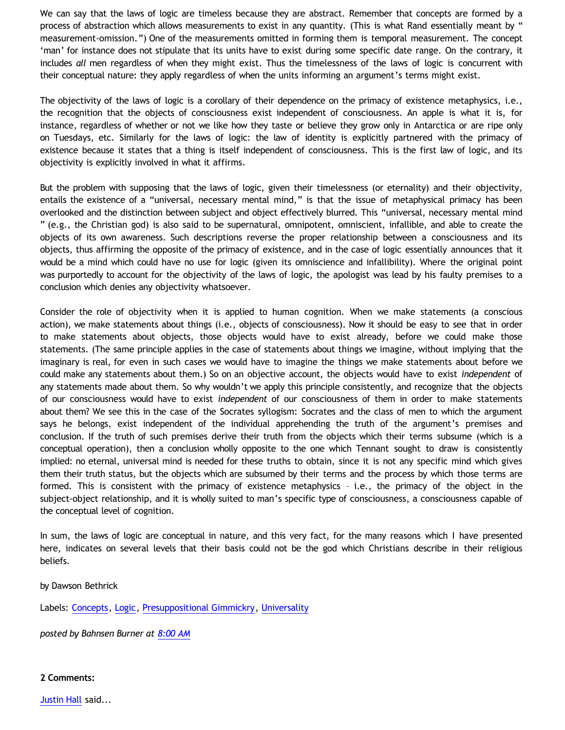We can say that the laws of logic are timeless because they are abstract. Remember that concepts are formed by a process of abstraction which allows measurements to exist in any quantity. (This is what Rand essentially meant by " measurement-omission.") One of the measurements omitted in forming them is temporal measurement. The concept 'man' for instance does not stipulate that its units have to exist during some specific date range. On the contrary, it includes *all* men regardless of when they might exist. Thus the timelessness of the laws of logic is concurrent with their conceptual nature: they apply regardless of when the units informing an argument's terms might exist.

The objectivity of the laws of logic is a corollary of their dependence on the primacy of existence metaphysics, i.e., the recognition that the objects of consciousness exist independent of consciousness. An apple is what it is, for instance, regardless of whether or not we like how they taste or believe they grow only in Antarctica or are ripe only on Tuesdays, etc. Similarly for the laws of logic: the law of identity is explicitly partnered with the primacy of existence because it states that a thing is itself independent of consciousness. This is the first law of logic, and its objectivity is explicitly involved in what it affirms.

But the problem with supposing that the laws of logic, given their timelessness (or eternality) and their objectivity, entails the existence of a "universal, necessary mental mind," is that the issue of metaphysical primacy has been overlooked and the distinction between subject and object effectively blurred. This "universal, necessary mental mind " (e.g., the Christian god) is also said to be supernatural, omnipotent, omniscient, infallible, and able to create the objects of its own awareness. Such descriptions reverse the proper relationship between a consciousness and its objects, thus affirming the opposite of the primacy of existence, and in the case of logic essentially announces that it would be a mind which could have no use for logic (given its omniscience and infallibility). Where the original point was purportedly to account for the objectivity of the laws of logic, the apologist was lead by his faulty premises to a conclusion which denies any objectivity whatsoever.

Consider the role of objectivity when it is applied to human cognition. When we make statements (a conscious action), we make statements about things (i.e., objects of consciousness). Now it should be easy to see that in order to make statements about objects, those objects would have to exist already, before we could make those statements. (The same principle applies in the case of statements about things we imagine, without implying that the imaginary is real, for even in such cases we would have to imagine the things we make statements about before we could make any statements about them.) So on an objective account, the objects would have to exist *independent* of any statements made about them. So why wouldn't we apply this principle consistently, and recognize that the objects of our consciousness would have to exist *independent* of our consciousness of them in order to make statements about them? We see this in the case of the Socrates syllogism: Socrates and the class of men to which the argument says he belongs, exist independent of the individual apprehending the truth of the argument's premises and conclusion. If the truth of such premises derive their truth from the objects which their terms subsume (which is a conceptual operation), then a conclusion wholly opposite to the one which Tennant sought to draw is consistently implied: no eternal, universal mind is needed for these truths to obtain, since it is not any specific mind which gives them their truth status, but the objects which are subsumed by their terms and the process by which those terms are formed. This is consistent with the primacy of existence metaphysics – i.e., the primacy of the object in the subject-object relationship, and it is wholly suited to man's specific type of consciousness, a consciousness capable of the conceptual level of cognition.

In sum, the laws of logic are conceptual in nature, and this very fact, for the many reasons which I have presented here, indicates on several levels that their basis could not be the god which Christians describe in their religious beliefs.

by Dawson Bethrick

Labels: [Concepts,](http://bahnsenburner.blogspot.com/search/label/Concepts) [Logic,](http://bahnsenburner.blogspot.com/search/label/Logic) [Presuppositional Gimmickry,](http://bahnsenburner.blogspot.com/search/label/Presuppositional%20Gimmickry) [Universality](http://bahnsenburner.blogspot.com/search/label/Universality)

*posted by Bahnsen Burner at [8:00 AM](http://bahnsenburner.blogspot.com/2009/07/does-logic-presuppose-christian-god_04.html)*

**2 Comments:**

[Justin Hall](http://www.blogger.com/profile/17804641315202800289) said...